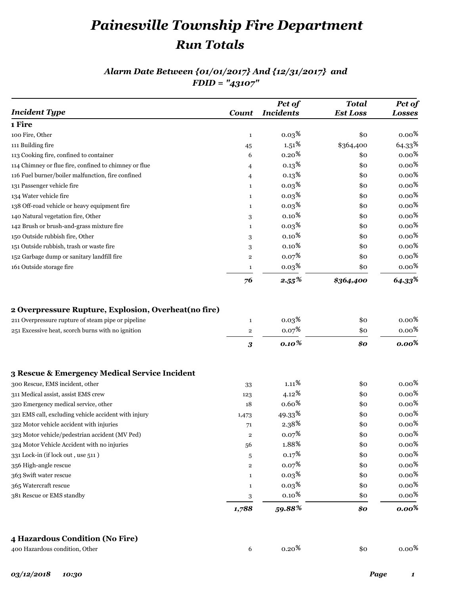# *Painesville Township Fire Department Run Totals*

#### *Alarm Date Between {01/01/2017} And {12/31/2017} and FDID = "43107"*

| <b>Incident Type</b>                                  | <b>Count</b>               | Pct of<br><b>Incidents</b>        | <b>Total</b><br><b>Est Loss</b> | Pct of<br><b>Losses</b>                   |
|-------------------------------------------------------|----------------------------|-----------------------------------|---------------------------------|-------------------------------------------|
| 1 Fire                                                |                            |                                   |                                 |                                           |
| 100 Fire, Other                                       | $\mathbf{1}$               | 0.03 <sup>8</sup>                 | \$0                             | $0.00\,{}^8$                              |
| 111 Building fire                                     | 45                         | $1.51\,{}^8$                      | \$364,400                       | $64.33*$                                  |
| 113 Cooking fire, confined to container               | 6                          | 0.20 <sup>8</sup>                 | \$0                             | $0.00\,{}^{\text{8}}$                     |
| 114 Chimney or flue fire, confined to chimney or flue | 4                          | 0.13 <sup>8</sup>                 | \$0                             | $0.00\,$ %                                |
| 116 Fuel burner/boiler malfunction, fire confined     | 4                          | 0.13 <sup>8</sup>                 | \$0                             | $0.00\,{}^8$                              |
| 131 Passenger vehicle fire                            | $\mathbf{1}$               | 0.03 <sup>8</sup>                 | \$0                             | $0.00\,{}^8$                              |
| 134 Water vehicle fire                                | $\mathbf{1}$               | 0.03 <sup>8</sup>                 | \$0                             | $0.00\,{}^8$                              |
| 138 Off-road vehicle or heavy equipment fire          | $\mathbf{1}$               | 0.03 <sup>8</sup>                 | \$0                             | $0.00\,{}^8$                              |
| 140 Natural vegetation fire, Other                    | 3                          | $0.10\,{}^8$                      | \$0                             | $0.00\,{}^8$                              |
| 142 Brush or brush-and-grass mixture fire             | $\mathbf{1}$               | 0.03 <sup>8</sup>                 | \$0                             | $0.00\,{}^8$                              |
| 150 Outside rubbish fire, Other                       | 3                          | $0.10\frac{8}{3}$                 | \$0                             | $0.00\,{}^8$                              |
| 151 Outside rubbish, trash or waste fire              | 3                          | $0.10\frac{8}{3}$                 | \$0                             | $0.00\,{}^8$                              |
| 152 Garbage dump or sanitary landfill fire            | $\overline{2}$             | 0.07 <sup>8</sup>                 | \$0                             | $0.00\,{}^8$                              |
| 161 Outside storage fire                              | $\mathbf{1}$               | $0.03\,{}^8$                      | \$0                             | $0.00\,{}^8$                              |
|                                                       | 76                         | $2.55\%$                          | \$364,400                       | $64.33^{\frac{6}{5}}$                     |
| 251 Excessive heat, scorch burns with no ignition     | $\overline{\mathbf{2}}$    |                                   |                                 |                                           |
|                                                       | $\boldsymbol{\mathcal{S}}$ | $0.07*$<br>$0.10\%$               | \$0<br>\$0                      | $0.00\,{}^8$<br>$0.00\%$                  |
| 3 Rescue & Emergency Medical Service Incident         |                            |                                   |                                 |                                           |
| 300 Rescue, EMS incident, other                       | 33                         | $1.11\,{}^{{}^{{}^{{}^{\circ}}}}$ | \$0                             | 0.00 $\frac{8}{3}$                        |
| 311 Medical assist, assist EMS crew                   | 123                        | $4.12\frac{8}{9}$                 | \$0                             | $0.00\,{}^8$                              |
| 320 Emergency medical service, other                  | 18                         | $0.60\,{}^8$                      | \$0                             | $0.00\,{}^8$                              |
| 321 EMS call, excluding vehicle accident with injury  | 1,473                      | $49.33^{\frac{6}{6}}$             | \$0                             | $0.00\,{}^8$                              |
| 322 Motor vehicle accident with injuries              | 71                         | 2.38 <sup>°</sup>                 | \$0                             | $0.00\,$ %                                |
| 323 Motor vehicle/pedestrian accident (MV Ped)        | $\mathbf{2}$               | $0.07\frac{8}{3}$                 | \$0                             | 0.00 $\frac{8}{9}$                        |
| 324 Motor Vehicle Accident with no injuries           | 56                         | 1.88%                             | \$0                             |                                           |
| 331 Lock-in (if lock out, use 511)                    | 5                          | 0.17 <sup>8</sup>                 | \$0                             |                                           |
| 356 High-angle rescue                                 | $\mathbf 2$                | $0.07*$                           | \$0                             | $0.00\,{}^8$                              |
| 363 Swift water rescue                                | $\mathbf{1}$               | 0.03 <sup>8</sup>                 | \$0                             | $0.00\,{}^8$                              |
| 365 Watercraft rescue                                 | $\mathbf{1}$               | 0.03 <sup>8</sup>                 | \$0                             | $0.00\,{}^8$                              |
| 381 Rescue or EMS standby                             | 3                          | $0.10\,{}^{8}$                    | \$0                             | $0.00\,$<br>$0.00\,$ $\,$<br>$0.00\,{}^8$ |

#### **4 Hazardous Condition (No Fire)**

| 400 Hazardous condition, Other |  | 0.20 <sup>8</sup> | \$0 | $0.00\,{}^{8}$ |
|--------------------------------|--|-------------------|-----|----------------|
|--------------------------------|--|-------------------|-----|----------------|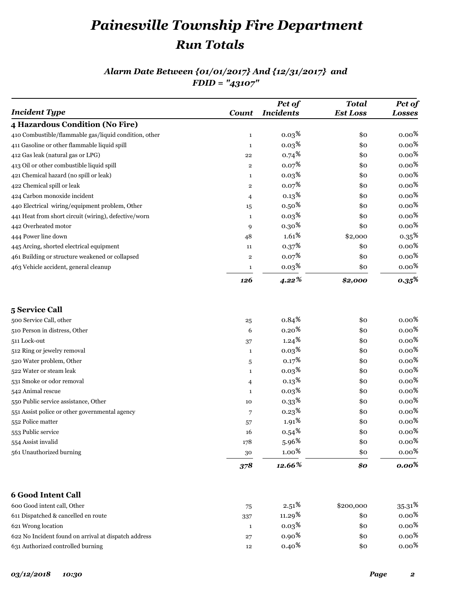# *Painesville Township Fire Department Run Totals*

### *Alarm Date Between {01/01/2017} And {12/31/2017} and FDID = "43107"*

|                                                       |                   | Pct of             | <b>Total</b>    | Pct of               |
|-------------------------------------------------------|-------------------|--------------------|-----------------|----------------------|
| <b>Incident Type</b>                                  | <b>Count</b>      | <b>Incidents</b>   | <b>Est Loss</b> | <b>Losses</b>        |
| 4 Hazardous Condition (No Fire)                       |                   |                    |                 |                      |
| 410 Combustible/flammable gas/liquid condition, other | $\mathbf{1}$      | 0.03 <sup>8</sup>  | \$0             | $0.00\,{}^8$         |
| 411 Gasoline or other flammable liquid spill          | 1                 | 0.03 <sup>8</sup>  | \$0             | $0.00\,{}^8$         |
| 412 Gas leak (natural gas or LPG)                     | 22                | $0.74*$            | \$0             | $0.00\,{}^8$         |
| 413 Oil or other combustible liquid spill             | $\mathbf 2$       | 0.07 <sup>8</sup>  | \$0             | 0.00 $\frac{8}{3}$   |
| 421 Chemical hazard (no spill or leak)                | 1                 | 0.03 <sup>8</sup>  | \$0             | $0.00\,{}^8$         |
| 422 Chemical spill or leak                            | $\mathbf 2$       | 0.07 <sup>8</sup>  | \$0             | $0.00\,{}^8$         |
| 424 Carbon monoxide incident                          | 4                 | 0.13 <sup>8</sup>  | \$0             | $0.00\,{}^8$         |
| 440 Electrical wiring/equipment problem, Other        | 15                | $0.50\,{}^8$       | \$0             | $0.00\,{}^8$         |
| 441 Heat from short circuit (wiring), defective/worn  | 1                 | 0.03 <sup>8</sup>  | \$0             | $0.00\,{}^8$         |
| 442 Overheated motor                                  | 9                 | 0.30 <sup>8</sup>  | \$0             | $0.00\,{}^8$         |
| 444 Power line down                                   | 48                | $1.61\,{}^{\circ}$ | \$2,000         | 0.35 <sup>8</sup>    |
| 445 Arcing, shorted electrical equipment              | 11                | 0.37 <sup>8</sup>  | \$0             | $0.00\,{}^8$         |
| 461 Building or structure weakened or collapsed       | $\mathbf 2$       | $0.07*$            | \$0             | $0.00\,{}^8$         |
| 463 Vehicle accident, general cleanup                 | 1                 | 0.03 <sup>8</sup>  | \$0             | $0.00\,{}^8$         |
|                                                       | 126               | $4.22\%$           | \$2,000         | $0.35^{\frac{6}{5}}$ |
| 5 Service Call                                        |                   |                    |                 |                      |
| 500 Service Call, other                               |                   | $0.84\,{}^8$       | \$0             | $0.00\,{}^8$         |
| 510 Person in distress, Other                         | $\bf 25$<br>6     | 0.20 <sup>8</sup>  | \$0             | $0.00\,{}^8$         |
| 511 Lock-out                                          |                   | 1.24 <sup>8</sup>  | \$0             | $0.00\,{}^8$         |
| 512 Ring or jewelry removal                           | 37<br>1           | 0.03 <sup>8</sup>  | \$0             | $0.00\,{}^8$         |
| 520 Water problem, Other                              |                   | 0.17 <sup>8</sup>  | \$0             | $0.00\,{}^8$         |
| 522 Water or steam leak                               | 5<br>$\mathbf{1}$ | 0.03 <sup>8</sup>  | \$0             | $0.00\,{}^8$         |
| 531 Smoke or odor removal                             |                   | 0.13 <sup>8</sup>  | \$0             | $0.00\,{}^8$         |
| 542 Animal rescue                                     | 4<br>1            | 0.03 <sup>8</sup>  | \$0             | $0.00\,{}^8$         |
| 550 Public service assistance, Other                  | 10                | $0.33*$            | \$0             | $0.00\,{}^8$         |
| 551 Assist police or other governmental agency        | 7                 | 0.23 <sup>8</sup>  | \$0             | $0.00\,{}^8$         |
| 552 Police matter                                     | 57                | $1.91\,{}^8$       | \$0             | $0.00\,{}^8$         |
| 553 Public service                                    | 16                | $0.54*$            | \$0             | $0.00\,{}^8$         |
| 554 Assist invalid                                    | 178               | $5.96\%$           | \$0             | $0.00\,{}^8$         |
| 561 Unauthorized burning                              | 30                | $1.00\,{}^8$       | \$0             | $0.00\,{}^8$         |
|                                                       | 378               | 12.66%             | \$0             | $0.00\%$             |
|                                                       |                   |                    |                 |                      |
| <b>6 Good Intent Call</b>                             |                   |                    |                 |                      |
| 600 Good intent call, Other                           | 75                | $2.51\,{}^8$       | \$200,000       | $35.31\,8$           |
| 611 Dispatched & cancelled en route                   | 337               | 11.29 <sup>8</sup> | \$0             | $0.00\,{}^8$         |
| 621 Wrong location                                    | 1                 | 0.03 <sup>8</sup>  | \$0             | $0.00\,{}^8$         |
| 622 No Incident found on arrival at dispatch address  | 27                | $0.90*$            | \$0             | $0.00\,{}^8$         |
| 631 Authorized controlled burning                     | 12                | $0.40*$            | \$0             | 0.00 $\frac{8}{3}$   |